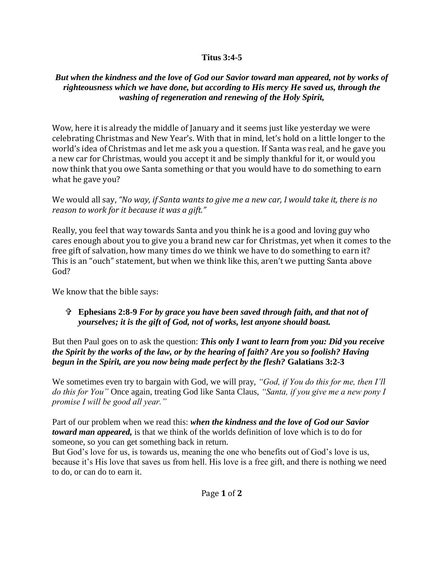## **Titus 3:4-5**

## *But when the kindness and the love of God our Savior toward man appeared, not by works of righteousness which we have done, but according to His mercy He saved us, through the washing of regeneration and renewing of the Holy Spirit,*

Wow, here it is already the middle of January and it seems just like yesterday we were celebrating Christmas and New Year's. With that in mind, let's hold on a little longer to the world's idea of Christmas and let me ask you a question. If Santa was real, and he gave you a new car for Christmas, would you accept it and be simply thankful for it, or would you now think that you owe Santa something or that you would have to do something to earn what he gave you?

We would all say, *"No way, if Santa wants to give me a new car, I would take it, there is no reason to work for it because it was a gift."*

Really, you feel that way towards Santa and you think he is a good and loving guy who cares enough about you to give you a brand new car for Christmas, yet when it comes to the free gift of salvation, how many times do we think we have to do something to earn it? This is an "ouch" statement, but when we think like this, aren't we putting Santa above God?

We know that the bible says:

## **Ephesians 2:8-9** *For by grace you have been saved through faith, and that not of yourselves; it is the gift of God, not of works, lest anyone should boast.*

But then Paul goes on to ask the question: *This only I want to learn from you: Did you receive the Spirit by the works of the law, or by the hearing of faith? Are you so foolish? Having begun in the Spirit, are you now being made perfect by the flesh?* **Galatians 3:2-3**

We sometimes even try to bargain with God, we will pray, *"God, if You do this for me, then I'll do this for You"* Once again, treating God like Santa Claus, *"Santa, if you give me a new pony I promise I will be good all year."*

Part of our problem when we read this: *when the kindness and the love of God our Savior toward man appeared,* is that we think of the worlds definition of love which is to do for someone, so you can get something back in return.

But God's love for us, is towards us, meaning the one who benefits out of God's love is us, because it's His love that saves us from hell. His love is a free gift, and there is nothing we need to do, or can do to earn it.